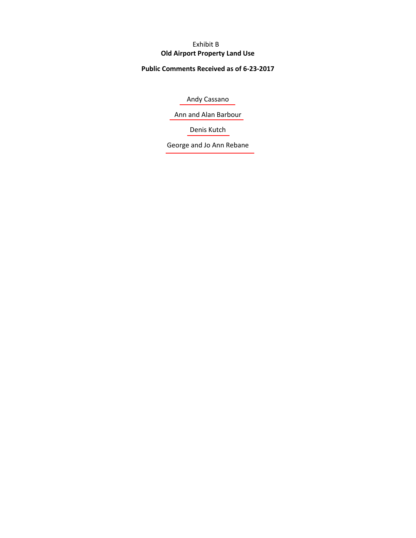# **Old Airport Property Land Use** Exhibit B

# **Public Comments Received as of 6-23-2017**

[Andy Cassano](#page-1-0)

[Ann and Alan Barbour](#page-2-0)

[Denis Kutch](#page-2-0)

[George and Jo Ann Rebane](#page-3-0)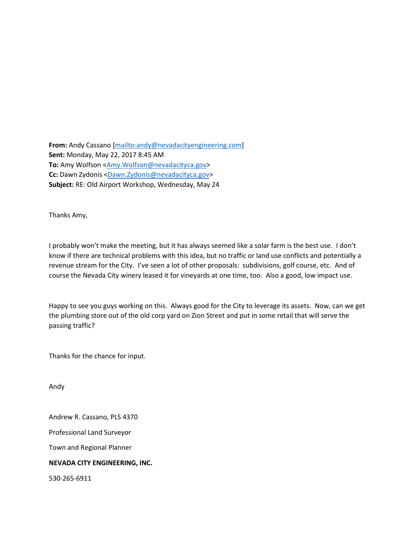<span id="page-1-0"></span>**From:** Andy Cassano [\[mailto:andy@nevadacityengineering.com\]](mailto:andy@nevadacityengineering.com) **Sent:** Monday, May 22, 2017 8:45 AM **To:** Amy Wolfson [<Amy.Wolfson@nevadacityca.gov>](mailto:Amy.Wolfson@nevadacityca.gov) **Cc:** Dawn Zydonis [<Dawn.Zydonis@nevadacityca.gov>](mailto:Dawn.Zydonis@nevadacityca.gov) **Subject:** RE: Old Airport Workshop, Wednesday, May 24

Thanks Amy,

I probably won't make the meeting, but it has always seemed like a solar farm is the best use. I don't know if there are technical problems with this idea, but no traffic or land use conflicts and potentially a revenue stream for the City. I've seen a lot of other proposals: subdivisions, golf course, etc. And of course the Nevada City winery leased it for vineyards at one time, too. Also a good, low impact use.

Happy to see you guys working on this. Always good for the City to leverage its assets. Now, can we get the plumbing store out of the old corp yard on Zion Street and put in some retail that will serve the passing traffic?

Thanks for the chance for input.

Andy

Andrew R. Cassano, PLS 4370

Professional Land Surveyor

Town and Regional Planner

### **NEVADA CITY ENGINEERING, INC.**

530-265-6911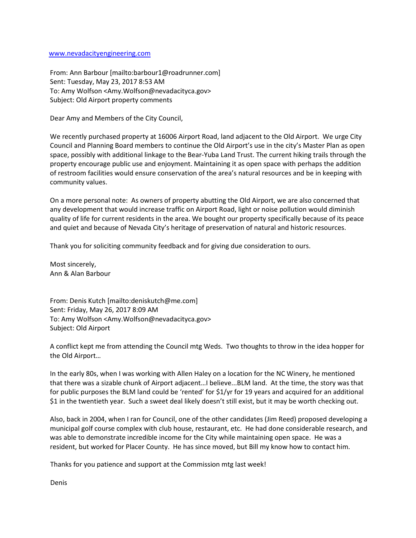#### <span id="page-2-0"></span>[www.nevadacityengineering.com](http://www.nevadacityengineering.com/)

From: Ann Barbour [mailto:barbour1@roadrunner.com] Sent: Tuesday, May 23, 2017 8:53 AM To: Amy Wolfson <Amy.Wolfson@nevadacityca.gov> Subject: Old Airport property comments

Dear Amy and Members of the City Council,

We recently purchased property at 16006 Airport Road, land adjacent to the Old Airport. We urge City Council and Planning Board members to continue the Old Airport's use in the city's Master Plan as open space, possibly with additional linkage to the Bear-Yuba Land Trust. The current hiking trails through the property encourage public use and enjoyment. Maintaining it as open space with perhaps the addition of restroom facilities would ensure conservation of the area's natural resources and be in keeping with community values.

On a more personal note: As owners of property abutting the Old Airport, we are also concerned that any development that would increase traffic on Airport Road, light or noise pollution would diminish quality of life for current residents in the area. We bought our property specifically because of its peace and quiet and because of Nevada City's heritage of preservation of natural and historic resources.

Thank you for soliciting community feedback and for giving due consideration to ours.

Most sincerely, Ann & Alan Barbour

From: Denis Kutch [mailto:deniskutch@me.com] Sent: Friday, May 26, 2017 8:09 AM To: Amy Wolfson <Amy.Wolfson@nevadacityca.gov> Subject: Old Airport

A conflict kept me from attending the Council mtg Weds. Two thoughts to throw in the idea hopper for the Old Airport…

In the early 80s, when I was working with Allen Haley on a location for the NC Winery, he mentioned that there was a sizable chunk of Airport adjacent…I believe...BLM land. At the time, the story was that for public purposes the BLM land could be 'rented' for \$1/yr for 19 years and acquired for an additional \$1 in the twentieth year. Such a sweet deal likely doesn't still exist, but it may be worth checking out.

Also, back in 2004, when I ran for Council, one of the other candidates (Jim Reed) proposed developing a municipal golf course complex with club house, restaurant, etc. He had done considerable research, and was able to demonstrate incredible income for the City while maintaining open space. He was a resident, but worked for Placer County. He has since moved, but Bill my know how to contact him.

Thanks for you patience and support at the Commission mtg last week!

Denis